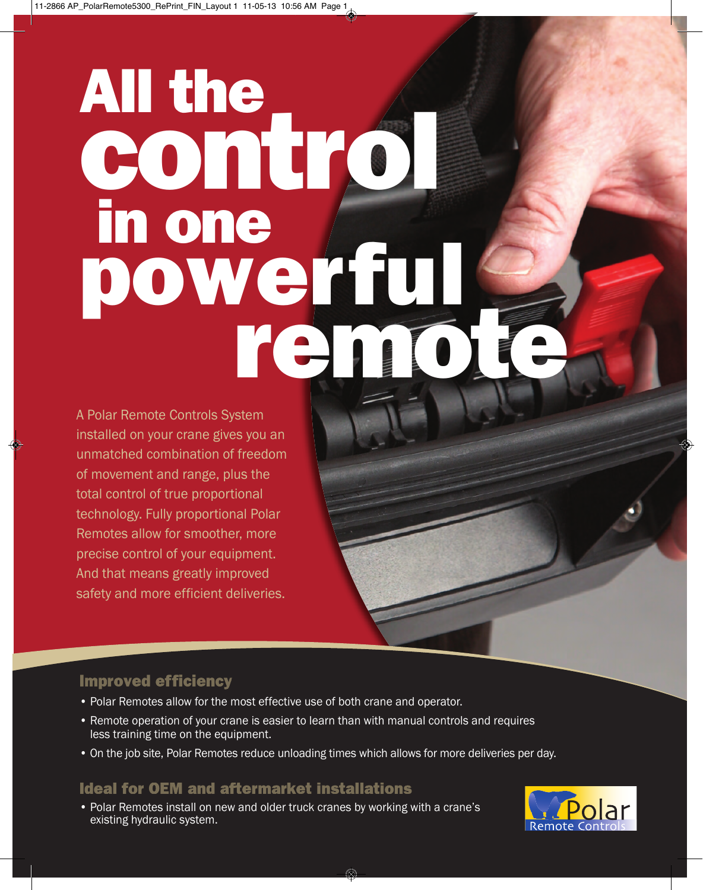# remote de All the control in one<br>powerful

A Polar Remote Controls System installed on your crane gives you an unmatched combination of freedom of movement and range, plus the total control of true proportional technology. Fully proportional Polar Remotes allow for smoother, more precise control of your equipment. And that means greatly improved safety and more efficient deliveries.

# **Improved efficiency**

- Polar Remotes allow for the most effective use of both crane and operator.
- Remote operation of your crane is easier to learn than with manual controls and requires less training time on the equipment.
- On the job site, Polar Remotes reduce unloading times which allows for more deliveries per day.

# **Ideal for OEM and aftermarket installations**

• Polar Remotes install on new and older truck cranes by working with a crane's existing hydraulic system.